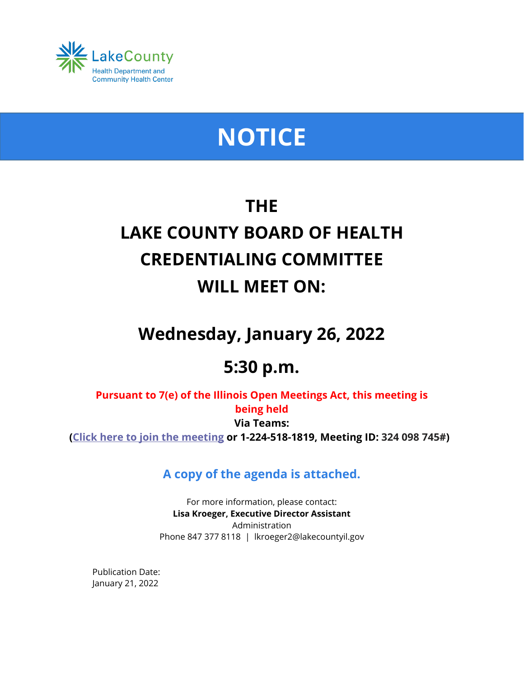

# **NOTICE**

## **THE LAKE COUNTY BOARD OF HEALTH CREDENTIALING COMMITTEE WILL MEET ON:**

## **Wednesday, January 26, 2022**

### **5:30 p.m.**

**Pursuant to 7(e) of the Illinois Open Meetings Act, this meeting is being held Via Teams: [\(Click here to join the meeting](https://teams.microsoft.com/l/meetup-join/19%3ameeting_NzdmYWU5YzUtMmE4ZC00NzdkLWEzY2QtZGM3YzgzMWYwYmM5%40thread.v2/0?context=%7b%22Tid%22%3a%22dd536cf5-92fd-42ff-a754-e98666cb7a96%22%2c%22Oid%22%3a%226db2f904-a33a-4f6c-80ff-57cd801cd388%22%7d) or 1-224-518-1819, Meeting ID: 324 098 745#)**

**A copy of the agenda is attached.**

For more information, please contact: **Lisa Kroeger, Executive Director Assistant** Administration Phone 847 377 8118 | lkroeger2@lakecountyil.gov

Publication Date: January 21, 2022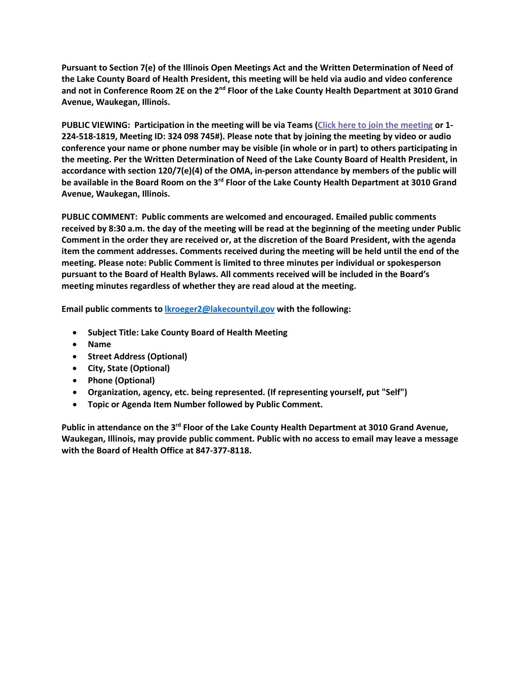**Pursuant to Section 7(e) of the Illinois Open Meetings Act and the Written Determination of Need of the Lake County Board of Health President, this meeting will be held via audio and video conference and not in Conference Room 2E on the 2nd Floor of the Lake County Health Department at 3010 Grand Avenue, Waukegan, Illinois.**

**PUBLIC VIEWING: Participation in the meeting will be via Teams [\(Click here to join the meeting](https://teams.microsoft.com/l/meetup-join/19%3ameeting_NzdmYWU5YzUtMmE4ZC00NzdkLWEzY2QtZGM3YzgzMWYwYmM5%40thread.v2/0?context=%7b%22Tid%22%3a%22dd536cf5-92fd-42ff-a754-e98666cb7a96%22%2c%22Oid%22%3a%226db2f904-a33a-4f6c-80ff-57cd801cd388%22%7d) or 1- 224-518-1819, Meeting ID: 324 098 745#). Please note that by joining the meeting by video or audio conference your name or phone number may be visible (in whole or in part) to others participating in the meeting. Per the Written Determination of Need of the Lake County Board of Health President, in accordance with section 120/7(e)(4) of the OMA, in-person attendance by members of the public will be available in the Board Room on the 3rd Floor of the Lake County Health Department at 3010 Grand Avenue, Waukegan, Illinois.**

**PUBLIC COMMENT: Public comments are welcomed and encouraged. Emailed public comments received by 8:30 a.m. the day of the meeting will be read at the beginning of the meeting under Public Comment in the order they are received or, at the discretion of the Board President, with the agenda item the comment addresses. Comments received during the meeting will be held until the end of the meeting. Please note: Public Comment is limited to three minutes per individual or spokesperson pursuant to the Board of Health Bylaws. All comments received will be included in the Board's meeting minutes regardless of whether they are read aloud at the meeting.**

**Email public comments t[o lkroeger2@lakecountyil.gov](mailto:lkroeger2@lakecountyil.gov) with the following:**

- **Subject Title: Lake County Board of Health Meeting**
- **Name**
- **Street Address (Optional)**
- **City, State (Optional)**
- **Phone (Optional)**
- **Organization, agency, etc. being represented. (If representing yourself, put "Self")**
- **Topic or Agenda Item Number followed by Public Comment.**

**Public in attendance on the 3rd Floor of the Lake County Health Department at 3010 Grand Avenue, Waukegan, Illinois, may provide public comment. Public with no access to email may leave a message with the Board of Health Office at 847-377-8118.**